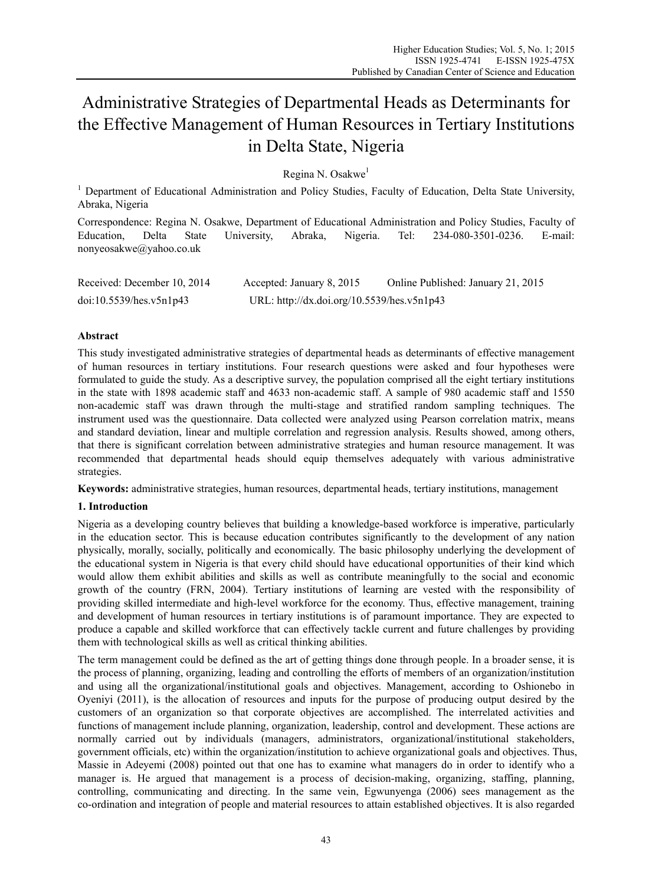# Administrative Strategies of Departmental Heads as Determinants for the Effective Management of Human Resources in Tertiary Institutions in Delta State, Nigeria

Regina N. Osakwe<sup>1</sup>

<sup>1</sup> Department of Educational Administration and Policy Studies, Faculty of Education, Delta State University, Abraka, Nigeria

Correspondence: Regina N. Osakwe, Department of Educational Administration and Policy Studies, Faculty of Education, Delta State University, Abraka, Nigeria. Tel: 234-080-3501-0236. E-mail: nonyeosakwe@yahoo.co.uk

| Received: December 10, 2014 | Accepted: January 8, 2015                  | Online Published: January 21, 2015 |
|-----------------------------|--------------------------------------------|------------------------------------|
| doi:10.5539/hes.v5n1p43     | URL: http://dx.doi.org/10.5539/hes.v5n1p43 |                                    |

# **Abstract**

This study investigated administrative strategies of departmental heads as determinants of effective management of human resources in tertiary institutions. Four research questions were asked and four hypotheses were formulated to guide the study. As a descriptive survey, the population comprised all the eight tertiary institutions in the state with 1898 academic staff and 4633 non-academic staff. A sample of 980 academic staff and 1550 non-academic staff was drawn through the multi-stage and stratified random sampling techniques. The instrument used was the questionnaire. Data collected were analyzed using Pearson correlation matrix, means and standard deviation, linear and multiple correlation and regression analysis. Results showed, among others, that there is significant correlation between administrative strategies and human resource management. It was recommended that departmental heads should equip themselves adequately with various administrative strategies.

**Keywords:** administrative strategies, human resources, departmental heads, tertiary institutions, management

# **1. Introduction**

Nigeria as a developing country believes that building a knowledge-based workforce is imperative, particularly in the education sector. This is because education contributes significantly to the development of any nation physically, morally, socially, politically and economically. The basic philosophy underlying the development of the educational system in Nigeria is that every child should have educational opportunities of their kind which would allow them exhibit abilities and skills as well as contribute meaningfully to the social and economic growth of the country (FRN, 2004). Tertiary institutions of learning are vested with the responsibility of providing skilled intermediate and high-level workforce for the economy. Thus, effective management, training and development of human resources in tertiary institutions is of paramount importance. They are expected to produce a capable and skilled workforce that can effectively tackle current and future challenges by providing them with technological skills as well as critical thinking abilities.

The term management could be defined as the art of getting things done through people. In a broader sense, it is the process of planning, organizing, leading and controlling the efforts of members of an organization/institution and using all the organizational/institutional goals and objectives. Management, according to Oshionebo in Oyeniyi (2011), is the allocation of resources and inputs for the purpose of producing output desired by the customers of an organization so that corporate objectives are accomplished. The interrelated activities and functions of management include planning, organization, leadership, control and development. These actions are normally carried out by individuals (managers, administrators, organizational/institutional stakeholders, government officials, etc) within the organization/institution to achieve organizational goals and objectives. Thus, Massie in Adeyemi (2008) pointed out that one has to examine what managers do in order to identify who a manager is. He argued that management is a process of decision-making, organizing, staffing, planning, controlling, communicating and directing. In the same vein, Egwunyenga (2006) sees management as the co-ordination and integration of people and material resources to attain established objectives. It is also regarded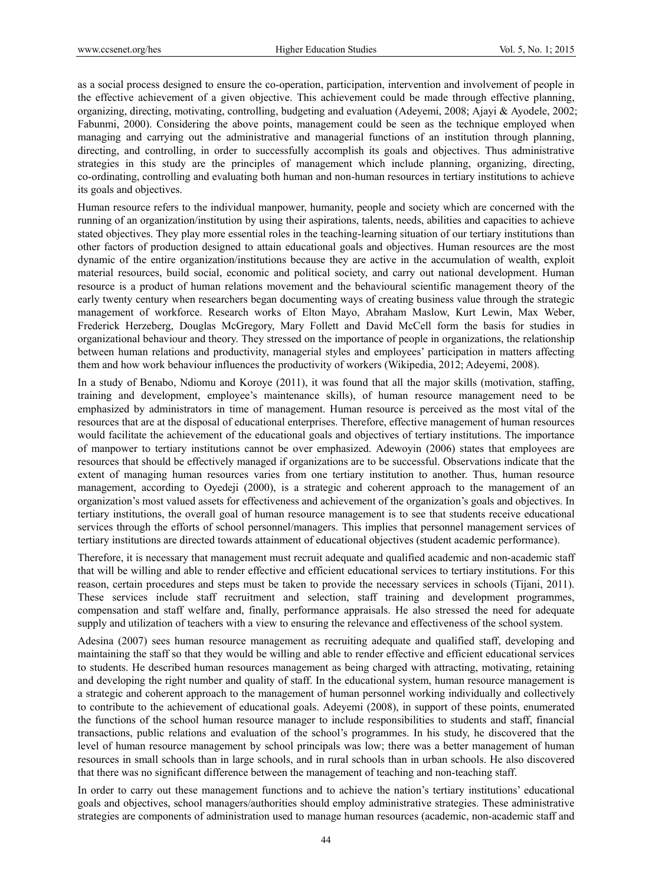as a social process designed to ensure the co-operation, participation, intervention and involvement of people in the effective achievement of a given objective. This achievement could be made through effective planning, organizing, directing, motivating, controlling, budgeting and evaluation (Adeyemi, 2008; Ajayi & Ayodele, 2002; Fabunmi, 2000). Considering the above points, management could be seen as the technique employed when managing and carrying out the administrative and managerial functions of an institution through planning, directing, and controlling, in order to successfully accomplish its goals and objectives. Thus administrative strategies in this study are the principles of management which include planning, organizing, directing, co-ordinating, controlling and evaluating both human and non-human resources in tertiary institutions to achieve its goals and objectives.

Human resource refers to the individual manpower, humanity, people and society which are concerned with the running of an organization/institution by using their aspirations, talents, needs, abilities and capacities to achieve stated objectives. They play more essential roles in the teaching-learning situation of our tertiary institutions than other factors of production designed to attain educational goals and objectives. Human resources are the most dynamic of the entire organization/institutions because they are active in the accumulation of wealth, exploit material resources, build social, economic and political society, and carry out national development. Human resource is a product of human relations movement and the behavioural scientific management theory of the early twenty century when researchers began documenting ways of creating business value through the strategic management of workforce. Research works of Elton Mayo, Abraham Maslow, Kurt Lewin, Max Weber, Frederick Herzeberg, Douglas McGregory, Mary Follett and David McCell form the basis for studies in organizational behaviour and theory. They stressed on the importance of people in organizations, the relationship between human relations and productivity, managerial styles and employees' participation in matters affecting them and how work behaviour influences the productivity of workers (Wikipedia, 2012; Adeyemi, 2008).

In a study of Benabo, Ndiomu and Koroye (2011), it was found that all the major skills (motivation, staffing, training and development, employee's maintenance skills), of human resource management need to be emphasized by administrators in time of management. Human resource is perceived as the most vital of the resources that are at the disposal of educational enterprises. Therefore, effective management of human resources would facilitate the achievement of the educational goals and objectives of tertiary institutions. The importance of manpower to tertiary institutions cannot be over emphasized. Adewoyin (2006) states that employees are resources that should be effectively managed if organizations are to be successful. Observations indicate that the extent of managing human resources varies from one tertiary institution to another. Thus, human resource management, according to Oyedeji (2000), is a strategic and coherent approach to the management of an organization's most valued assets for effectiveness and achievement of the organization's goals and objectives. In tertiary institutions, the overall goal of human resource management is to see that students receive educational services through the efforts of school personnel/managers. This implies that personnel management services of tertiary institutions are directed towards attainment of educational objectives (student academic performance).

Therefore, it is necessary that management must recruit adequate and qualified academic and non-academic staff that will be willing and able to render effective and efficient educational services to tertiary institutions. For this reason, certain procedures and steps must be taken to provide the necessary services in schools (Tijani, 2011). These services include staff recruitment and selection, staff training and development programmes, compensation and staff welfare and, finally, performance appraisals. He also stressed the need for adequate supply and utilization of teachers with a view to ensuring the relevance and effectiveness of the school system.

Adesina (2007) sees human resource management as recruiting adequate and qualified staff, developing and maintaining the staff so that they would be willing and able to render effective and efficient educational services to students. He described human resources management as being charged with attracting, motivating, retaining and developing the right number and quality of staff. In the educational system, human resource management is a strategic and coherent approach to the management of human personnel working individually and collectively to contribute to the achievement of educational goals. Adeyemi (2008), in support of these points, enumerated the functions of the school human resource manager to include responsibilities to students and staff, financial transactions, public relations and evaluation of the school's programmes. In his study, he discovered that the level of human resource management by school principals was low; there was a better management of human resources in small schools than in large schools, and in rural schools than in urban schools. He also discovered that there was no significant difference between the management of teaching and non-teaching staff.

In order to carry out these management functions and to achieve the nation's tertiary institutions' educational goals and objectives, school managers/authorities should employ administrative strategies. These administrative strategies are components of administration used to manage human resources (academic, non-academic staff and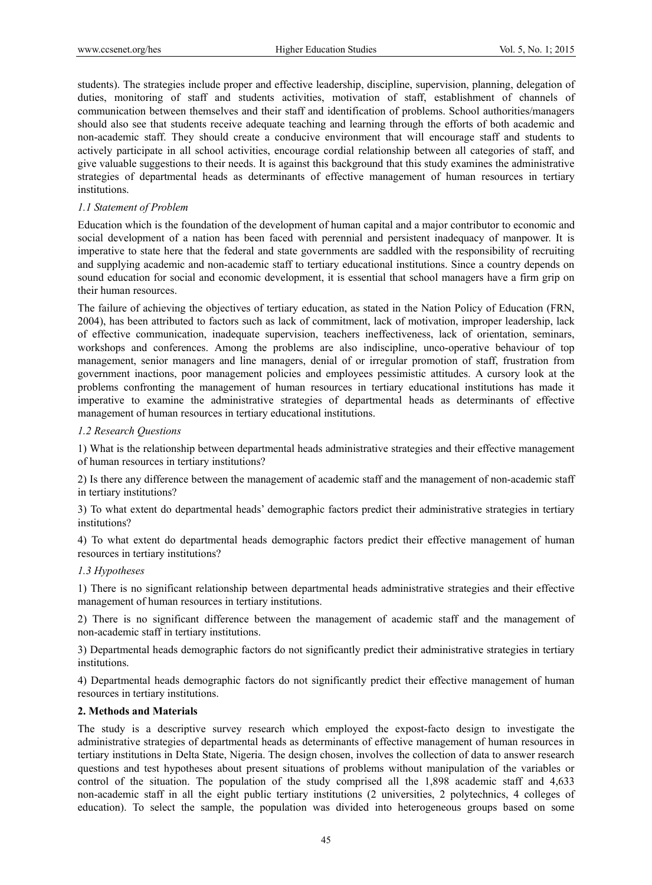students). The strategies include proper and effective leadership, discipline, supervision, planning, delegation of duties, monitoring of staff and students activities, motivation of staff, establishment of channels of communication between themselves and their staff and identification of problems. School authorities/managers should also see that students receive adequate teaching and learning through the efforts of both academic and non-academic staff. They should create a conducive environment that will encourage staff and students to actively participate in all school activities, encourage cordial relationship between all categories of staff, and give valuable suggestions to their needs. It is against this background that this study examines the administrative strategies of departmental heads as determinants of effective management of human resources in tertiary **institutions** 

## *1.1 Statement of Problem*

Education which is the foundation of the development of human capital and a major contributor to economic and social development of a nation has been faced with perennial and persistent inadequacy of manpower. It is imperative to state here that the federal and state governments are saddled with the responsibility of recruiting and supplying academic and non-academic staff to tertiary educational institutions. Since a country depends on sound education for social and economic development, it is essential that school managers have a firm grip on their human resources.

The failure of achieving the objectives of tertiary education, as stated in the Nation Policy of Education (FRN, 2004), has been attributed to factors such as lack of commitment, lack of motivation, improper leadership, lack of effective communication, inadequate supervision, teachers ineffectiveness, lack of orientation, seminars, workshops and conferences. Among the problems are also indiscipline, unco-operative behaviour of top management, senior managers and line managers, denial of or irregular promotion of staff, frustration from government inactions, poor management policies and employees pessimistic attitudes. A cursory look at the problems confronting the management of human resources in tertiary educational institutions has made it imperative to examine the administrative strategies of departmental heads as determinants of effective management of human resources in tertiary educational institutions.

## *1.2 Research Questions*

1) What is the relationship between departmental heads administrative strategies and their effective management of human resources in tertiary institutions?

2) Is there any difference between the management of academic staff and the management of non-academic staff in tertiary institutions?

3) To what extent do departmental heads' demographic factors predict their administrative strategies in tertiary institutions?

4) To what extent do departmental heads demographic factors predict their effective management of human resources in tertiary institutions?

## *1.3 Hypotheses*

1) There is no significant relationship between departmental heads administrative strategies and their effective management of human resources in tertiary institutions.

2) There is no significant difference between the management of academic staff and the management of non-academic staff in tertiary institutions.

3) Departmental heads demographic factors do not significantly predict their administrative strategies in tertiary institutions.

4) Departmental heads demographic factors do not significantly predict their effective management of human resources in tertiary institutions.

# **2. Methods and Materials**

The study is a descriptive survey research which employed the expost-facto design to investigate the administrative strategies of departmental heads as determinants of effective management of human resources in tertiary institutions in Delta State, Nigeria. The design chosen, involves the collection of data to answer research questions and test hypotheses about present situations of problems without manipulation of the variables or control of the situation. The population of the study comprised all the 1,898 academic staff and 4,633 non-academic staff in all the eight public tertiary institutions (2 universities, 2 polytechnics, 4 colleges of education). To select the sample, the population was divided into heterogeneous groups based on some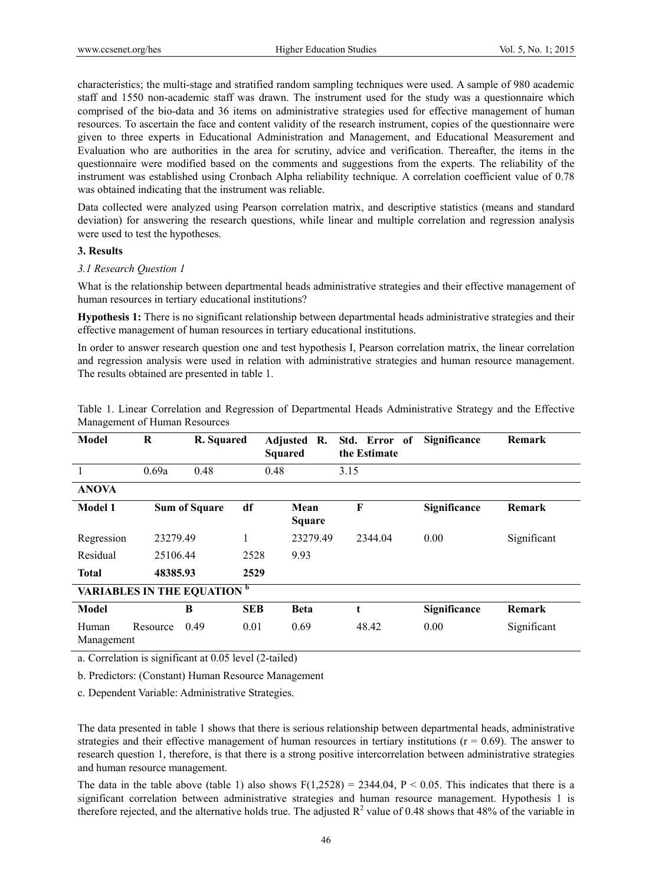characteristics; the multi-stage and stratified random sampling techniques were used. A sample of 980 academic staff and 1550 non-academic staff was drawn. The instrument used for the study was a questionnaire which comprised of the bio-data and 36 items on administrative strategies used for effective management of human resources. To ascertain the face and content validity of the research instrument, copies of the questionnaire were given to three experts in Educational Administration and Management, and Educational Measurement and Evaluation who are authorities in the area for scrutiny, advice and verification. Thereafter, the items in the questionnaire were modified based on the comments and suggestions from the experts. The reliability of the instrument was established using Cronbach Alpha reliability technique. A correlation coefficient value of 0.78 was obtained indicating that the instrument was reliable.

Data collected were analyzed using Pearson correlation matrix, and descriptive statistics (means and standard deviation) for answering the research questions, while linear and multiple correlation and regression analysis were used to test the hypotheses.

#### **3. Results**

#### *3.1 Research Question 1*

What is the relationship between departmental heads administrative strategies and their effective management of human resources in tertiary educational institutions?

**Hypothesis 1:** There is no significant relationship between departmental heads administrative strategies and their effective management of human resources in tertiary educational institutions.

In order to answer research question one and test hypothesis I, Pearson correlation matrix, the linear correlation and regression analysis were used in relation with administrative strategies and human resource management. The results obtained are presented in table 1.

| Model                       | $\bf{R}$ | R. Squared           |            | Adjusted R.<br><b>Squared</b> | Std. Error of<br>the Estimate | Significance | Remark      |  |  |
|-----------------------------|----------|----------------------|------------|-------------------------------|-------------------------------|--------------|-------------|--|--|
|                             | 0.69a    | 0.48                 | 0.48       |                               | 3.15                          |              |             |  |  |
| <b>ANOVA</b>                |          |                      |            |                               |                               |              |             |  |  |
| Model 1                     |          | <b>Sum of Square</b> | df         | Mean<br><b>Square</b>         | F                             | Significance | Remark      |  |  |
| Regression                  | 23279.49 |                      | 1          | 23279.49                      | 2344.04                       | 0.00         | Significant |  |  |
| Residual                    | 25106.44 |                      | 2528       | 9.93                          |                               |              |             |  |  |
| Total                       | 48385.93 |                      | 2529       |                               |                               |              |             |  |  |
| VARIABLES IN THE EQUATION b |          |                      |            |                               |                               |              |             |  |  |
| Model                       |          | B                    | <b>SEB</b> | <b>Beta</b>                   | t                             | Significance | Remark      |  |  |
| Human<br>Management         | Resource | 0.49                 | 0.01       | 0.69                          | 48.42                         | 0.00         | Significant |  |  |

Table 1. Linear Correlation and Regression of Departmental Heads Administrative Strategy and the Effective Management of Human Resources

a. Correlation is significant at 0.05 level (2-tailed)

b. Predictors: (Constant) Human Resource Management

c. Dependent Variable: Administrative Strategies.

The data presented in table 1 shows that there is serious relationship between departmental heads, administrative strategies and their effective management of human resources in tertiary institutions ( $r = 0.69$ ). The answer to research question 1, therefore, is that there is a strong positive intercorrelation between administrative strategies and human resource management.

The data in the table above (table 1) also shows  $F(1,2528) = 2344.04$ ,  $P < 0.05$ . This indicates that there is a significant correlation between administrative strategies and human resource management. Hypothesis 1 is therefore rejected, and the alternative holds true. The adjusted  $\mathbb{R}^2$  value of 0.48 shows that 48% of the variable in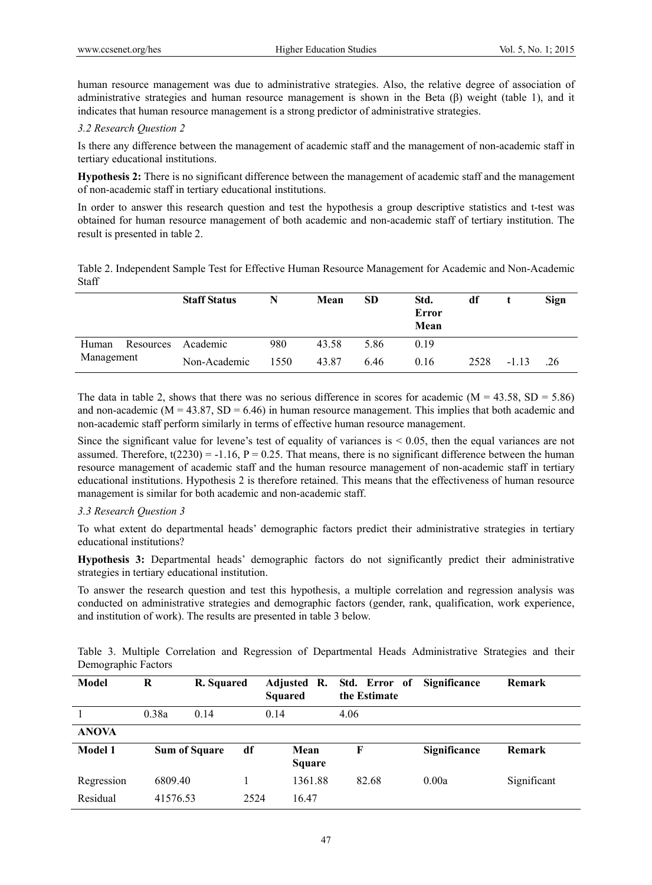human resource management was due to administrative strategies. Also, the relative degree of association of administrative strategies and human resource management is shown in the Beta (β) weight (table 1), and it indicates that human resource management is a strong predictor of administrative strategies.

# *3.2 Research Question 2*

Is there any difference between the management of academic staff and the management of non-academic staff in tertiary educational institutions.

**Hypothesis 2:** There is no significant difference between the management of academic staff and the management of non-academic staff in tertiary educational institutions.

In order to answer this research question and test the hypothesis a group descriptive statistics and t-test was obtained for human resource management of both academic and non-academic staff of tertiary institution. The result is presented in table 2.

Table 2. Independent Sample Test for Effective Human Resource Management for Academic and Non-Academic Staff

|            |           | <b>Staff Status</b> | N    | Mean  | <b>SD</b> | Std.<br>Error<br>Mean | df   |         | Sign |
|------------|-----------|---------------------|------|-------|-----------|-----------------------|------|---------|------|
| Human      | Resources | Academic            | 980  | 43.58 | 5.86      | 0.19                  |      |         |      |
| Management |           | Non-Academic        | 1550 | 43.87 | 6.46      | 0.16                  | 2528 | $-1.13$ | .26  |

The data in table 2, shows that there was no serious difference in scores for academic ( $M = 43.58$ ,  $SD = 5.86$ ) and non-academic ( $M = 43.87$ ,  $SD = 6.46$ ) in human resource management. This implies that both academic and non-academic staff perform similarly in terms of effective human resource management.

Since the significant value for levene's test of equality of variances is  $< 0.05$ , then the equal variances are not assumed. Therefore,  $t(2230) = -1.16$ , P = 0.25. That means, there is no significant difference between the human resource management of academic staff and the human resource management of non-academic staff in tertiary educational institutions. Hypothesis 2 is therefore retained. This means that the effectiveness of human resource management is similar for both academic and non-academic staff.

## *3.3 Research Question 3*

To what extent do departmental heads' demographic factors predict their administrative strategies in tertiary educational institutions?

**Hypothesis 3:** Departmental heads' demographic factors do not significantly predict their administrative strategies in tertiary educational institution.

To answer the research question and test this hypothesis, a multiple correlation and regression analysis was conducted on administrative strategies and demographic factors (gender, rank, qualification, work experience, and institution of work). The results are presented in table 3 below.

Table 3. Multiple Correlation and Regression of Departmental Heads Administrative Strategies and their Demographic Factors

| Model        | R                    | R. Squared | <b>Squared</b> | Adjusted R.           | Std. Error of<br>the Estimate | Significance | <b>Remark</b> |
|--------------|----------------------|------------|----------------|-----------------------|-------------------------------|--------------|---------------|
|              | 0.38a                | 0.14       | 0.14           |                       | 4.06                          |              |               |
| <b>ANOVA</b> |                      |            |                |                       |                               |              |               |
| Model 1      | <b>Sum of Square</b> | df         |                | Mean<br><b>Square</b> | F                             | Significance | <b>Remark</b> |
| Regression   | 6809.40              |            |                | 1361.88               | 82.68                         | 0.00a        | Significant   |
| Residual     | 41576.53             |            | 2524           | 16.47                 |                               |              |               |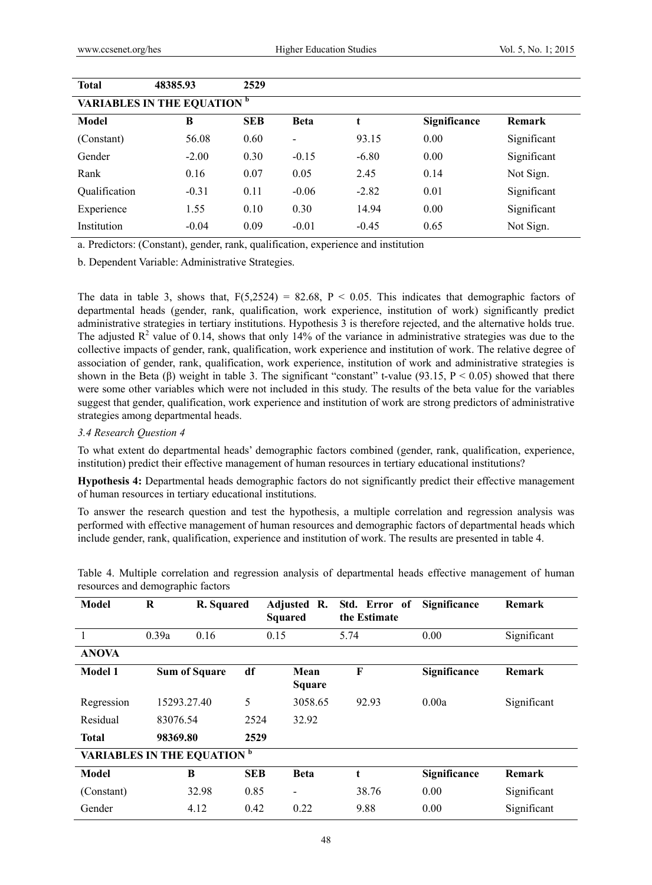| <b>Total</b>                | 48385.93 | 2529       |                          |         |              |             |  |  |  |  |
|-----------------------------|----------|------------|--------------------------|---------|--------------|-------------|--|--|--|--|
| VARIABLES IN THE EQUATION b |          |            |                          |         |              |             |  |  |  |  |
| <b>Model</b>                | B        | <b>SEB</b> | <b>Beta</b>              |         | Significance | Remark      |  |  |  |  |
| (Constant)                  | 56.08    | 0.60       | $\overline{\phantom{a}}$ | 93.15   | 0.00         | Significant |  |  |  |  |
| Gender                      | $-2.00$  | 0.30       | $-0.15$                  | $-6.80$ | 0.00         | Significant |  |  |  |  |
| Rank                        | 0.16     | 0.07       | 0.05                     | 2.45    | 0.14         | Not Sign.   |  |  |  |  |
| Qualification               | $-0.31$  | 0.11       | $-0.06$                  | $-2.82$ | 0.01         | Significant |  |  |  |  |
| Experience                  | 1.55     | 0.10       | 0.30                     | 14.94   | 0.00         | Significant |  |  |  |  |
| Institution                 | $-0.04$  | 0.09       | $-0.01$                  | $-0.45$ | 0.65         | Not Sign.   |  |  |  |  |

a. Predictors: (Constant), gender, rank, qualification, experience and institution

b. Dependent Variable: Administrative Strategies.

The data in table 3, shows that,  $F(5,2524) = 82.68$ ,  $P < 0.05$ . This indicates that demographic factors of departmental heads (gender, rank, qualification, work experience, institution of work) significantly predict administrative strategies in tertiary institutions. Hypothesis 3 is therefore rejected, and the alternative holds true. The adjusted  $\mathbb{R}^2$  value of 0.14, shows that only 14% of the variance in administrative strategies was due to the collective impacts of gender, rank, qualification, work experience and institution of work. The relative degree of association of gender, rank, qualification, work experience, institution of work and administrative strategies is shown in the Beta  $(\beta)$  weight in table 3. The significant "constant" t-value (93.15, P < 0.05) showed that there were some other variables which were not included in this study. The results of the beta value for the variables suggest that gender, qualification, work experience and institution of work are strong predictors of administrative strategies among departmental heads.

# *3.4 Research Question 4*

To what extent do departmental heads' demographic factors combined (gender, rank, qualification, experience, institution) predict their effective management of human resources in tertiary educational institutions?

**Hypothesis 4:** Departmental heads demographic factors do not significantly predict their effective management of human resources in tertiary educational institutions.

To answer the research question and test the hypothesis, a multiple correlation and regression analysis was performed with effective management of human resources and demographic factors of departmental heads which include gender, rank, qualification, experience and institution of work. The results are presented in table 4.

| Model                                  | $\bf R$     | R. Squared           |            | Adjusted R.<br><b>Squared</b> | Std. Error of<br>the Estimate | Significance | Remark        |  |  |
|----------------------------------------|-------------|----------------------|------------|-------------------------------|-------------------------------|--------------|---------------|--|--|
|                                        | 0.39a       | 0.16                 |            | 0.15                          | 5.74                          | 0.00         | Significant   |  |  |
| <b>ANOVA</b>                           |             |                      |            |                               |                               |              |               |  |  |
| <b>Model 1</b>                         |             | <b>Sum of Square</b> | df         | Mean<br><b>Square</b>         | F                             | Significance | <b>Remark</b> |  |  |
| Regression                             | 15293.27.40 |                      | 5          | 3058.65                       | 92.93                         | 0.00a        | Significant   |  |  |
| Residual                               | 83076.54    |                      | 2524       | 32.92                         |                               |              |               |  |  |
| <b>Total</b>                           | 98369.80    |                      | 2529       |                               |                               |              |               |  |  |
| VARIABLES IN THE EQUATION <sup>b</sup> |             |                      |            |                               |                               |              |               |  |  |
| Model                                  |             | B                    | <b>SEB</b> | <b>Beta</b>                   | t                             | Significance | Remark        |  |  |
| (Constant)                             |             | 32.98                | 0.85       | $\overline{\phantom{a}}$      | 38.76                         | 0.00         | Significant   |  |  |
| Gender                                 |             | 4.12                 | 0.42       | 0.22                          | 9.88                          | 0.00         | Significant   |  |  |

Table 4. Multiple correlation and regression analysis of departmental heads effective management of human resources and demographic factors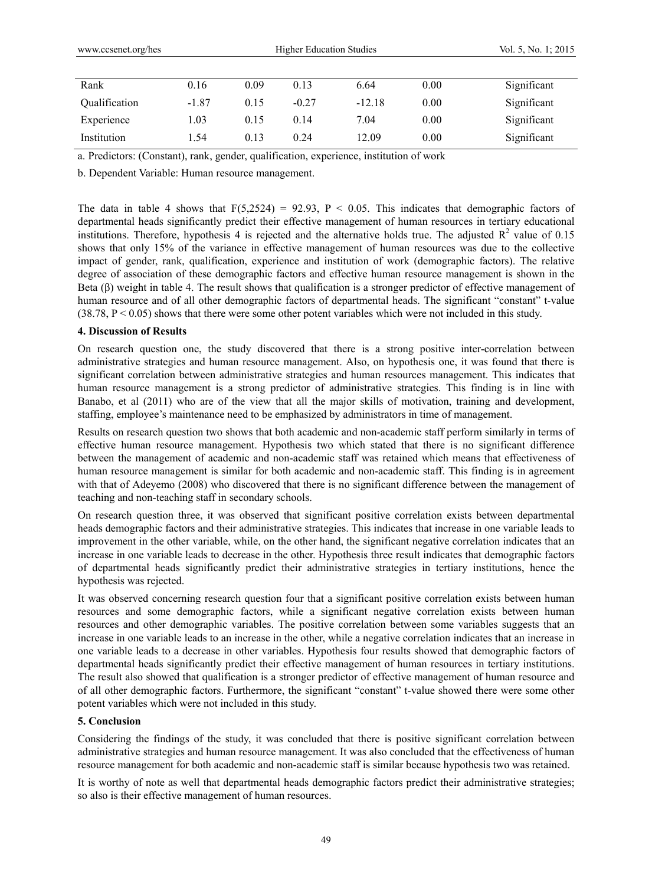| Rank          | 0.16    | 0.09 | 0.13    | 6.64     | 0.00 | Significant |
|---------------|---------|------|---------|----------|------|-------------|
| Qualification | $-1.87$ | 0.15 | $-0.27$ | $-12.18$ | 0.00 | Significant |
| Experience    | 1.03    | 0.15 | 0.14    | 7.04     | 0.00 | Significant |
| Institution   | 1.54    | 0.13 | 0.24    | 12.09    | 0.00 | Significant |

a. Predictors: (Constant), rank, gender, qualification, experience, institution of work

b. Dependent Variable: Human resource management.

The data in table 4 shows that  $F(5,2524) = 92.93$ ,  $P < 0.05$ . This indicates that demographic factors of departmental heads significantly predict their effective management of human resources in tertiary educational institutions. Therefore, hypothesis 4 is rejected and the alternative holds true. The adjusted  $R^2$  value of 0.15 shows that only 15% of the variance in effective management of human resources was due to the collective impact of gender, rank, qualification, experience and institution of work (demographic factors). The relative degree of association of these demographic factors and effective human resource management is shown in the Beta (β) weight in table 4. The result shows that qualification is a stronger predictor of effective management of human resource and of all other demographic factors of departmental heads. The significant "constant" t-value  $(38.78, P < 0.05)$  shows that there were some other potent variables which were not included in this study.

## **4. Discussion of Results**

On research question one, the study discovered that there is a strong positive inter-correlation between administrative strategies and human resource management. Also, on hypothesis one, it was found that there is significant correlation between administrative strategies and human resources management. This indicates that human resource management is a strong predictor of administrative strategies. This finding is in line with Banabo, et al (2011) who are of the view that all the major skills of motivation, training and development, staffing, employee's maintenance need to be emphasized by administrators in time of management.

Results on research question two shows that both academic and non-academic staff perform similarly in terms of effective human resource management. Hypothesis two which stated that there is no significant difference between the management of academic and non-academic staff was retained which means that effectiveness of human resource management is similar for both academic and non-academic staff. This finding is in agreement with that of Adeyemo (2008) who discovered that there is no significant difference between the management of teaching and non-teaching staff in secondary schools.

On research question three, it was observed that significant positive correlation exists between departmental heads demographic factors and their administrative strategies. This indicates that increase in one variable leads to improvement in the other variable, while, on the other hand, the significant negative correlation indicates that an increase in one variable leads to decrease in the other. Hypothesis three result indicates that demographic factors of departmental heads significantly predict their administrative strategies in tertiary institutions, hence the hypothesis was rejected.

It was observed concerning research question four that a significant positive correlation exists between human resources and some demographic factors, while a significant negative correlation exists between human resources and other demographic variables. The positive correlation between some variables suggests that an increase in one variable leads to an increase in the other, while a negative correlation indicates that an increase in one variable leads to a decrease in other variables. Hypothesis four results showed that demographic factors of departmental heads significantly predict their effective management of human resources in tertiary institutions. The result also showed that qualification is a stronger predictor of effective management of human resource and of all other demographic factors. Furthermore, the significant "constant" t-value showed there were some other potent variables which were not included in this study.

## **5. Conclusion**

Considering the findings of the study, it was concluded that there is positive significant correlation between administrative strategies and human resource management. It was also concluded that the effectiveness of human resource management for both academic and non-academic staff is similar because hypothesis two was retained.

It is worthy of note as well that departmental heads demographic factors predict their administrative strategies; so also is their effective management of human resources.